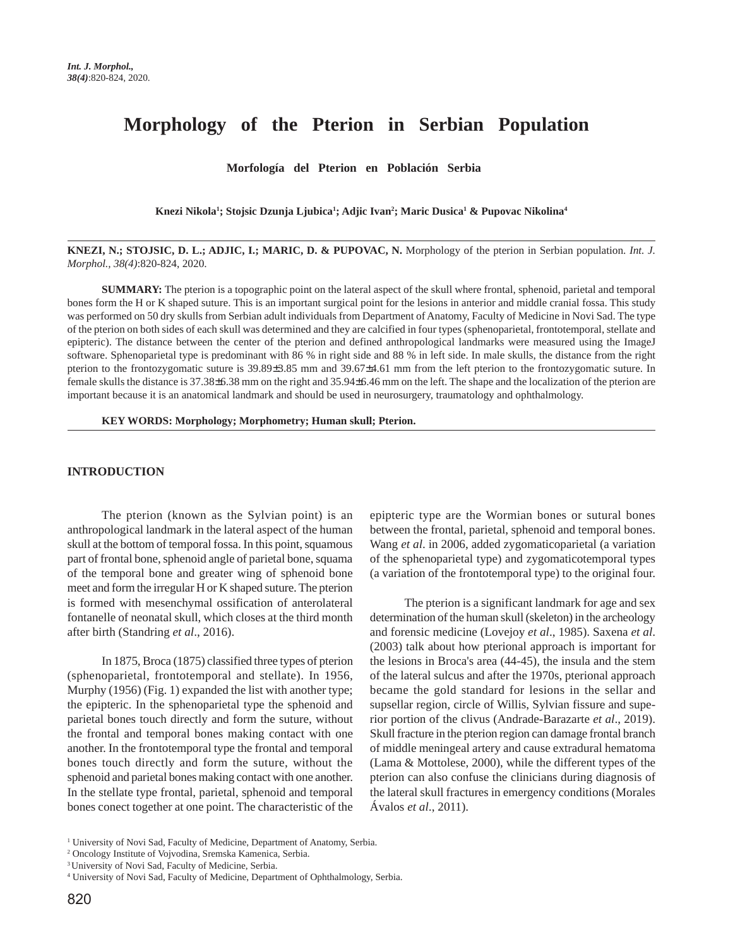# **Morphology of the Pterion in Serbian Population**

 **Morfología del Pterion en Población Serbia** 

**Knezi Nikola1 ; Stojsic Dzunja Ljubica1 ; Adjic Ivan2 ; Maric Dusica1 & Pupovac Nikolina4**

**KNEZI, N.; STOJSIC, D. L.; ADJIC, I.; MARIC, D. & PUPOVAC, N.** Morphology of the pterion in Serbian population. *Int. J. Morphol., 38(4)*:820-824, 2020.

**SUMMARY:** The pterion is a topographic point on the lateral aspect of the skull where frontal, sphenoid, parietal and temporal bones form the H or K shaped suture. This is an important surgical point for the lesions in anterior and middle cranial fossa. This study was performed on 50 dry skulls from Serbian adult individuals from Department of Anatomy, Faculty of Medicine in Novi Sad. The type of the pterion on both sides of each skull was determined and they are calcified in four types (sphenoparietal, frontotemporal, stellate and epipteric). The distance between the center of the pterion and defined anthropological landmarks were measured using the ImageJ software. Sphenoparietal type is predominant with 86 % in right side and 88 % in left side. In male skulls, the distance from the right pterion to the frontozygomatic suture is 39.89±3.85 mm and 39.67±4.61 mm from the left pterion to the frontozygomatic suture. In female skulls the distance is 37.38±6.38 mm on the right and 35.94±6.46 mm on the left. The shape and the localization of the pterion are important because it is an anatomical landmark and should be used in neurosurgery, traumatology and ophthalmology.

**KEY WORDS: Morphology; Morphometry; Human skull; Pterion.**

## **INTRODUCTION**

The pterion (known as the Sylvian point) is an anthropological landmark in the lateral aspect of the human skull at the bottom of temporal fossa. In this point, squamous part of frontal bone, sphenoid angle of parietal bone, squama of the temporal bone and greater wing of sphenoid bone meet and form the irregular H or K shaped suture. The pterion is formed with mesenchymal ossification of anterolateral fontanelle of neonatal skull, which closes at the third month after birth (Standring *et al*., 2016).

In 1875, Broca (1875) classified three types of pterion (sphenoparietal, frontotemporal and stellate). In 1956, Murphy (1956) (Fig. 1) expanded the list with another type; the epipteric. In the sphenoparietal type the sphenoid and parietal bones touch directly and form the suture, without the frontal and temporal bones making contact with one another. In the frontotemporal type the frontal and temporal bones touch directly and form the suture, without the sphenoid and parietal bones making contact with one another. In the stellate type frontal, parietal, sphenoid and temporal bones conect together at one point. The characteristic of the epipteric type are the Wormian bones or sutural bones between the frontal, parietal, sphenoid and temporal bones. Wang *et al*. in 2006, added zygomaticoparietal (a variation of the sphenoparietal type) and zygomaticotemporal types (a variation of the frontotemporal type) to the original four.

The pterion is a significant landmark for age and sex determination of the human skull (skeleton) in the archeology and forensic medicine (Lovejoy *et al*., 1985). Saxena *et al*. (2003) talk about how pterional approach is important for the lesions in Broca's area (44-45), the insula and the stem of the lateral sulcus and after the 1970s, pterional approach became the gold standard for lesions in the sellar and supsellar region, circle of Willis, Sylvian fissure and superior portion of the clivus (Andrade-Barazarte *et al*., 2019). Skull fracture in the pterion region can damage frontal branch of middle meningeal artery and cause extradural hematoma (Lama & Mottolese, 2000), while the different types of the pterion can also confuse the clinicians during diagnosis of the lateral skull fractures in emergency conditions (Morales Ávalos *et al*., 2011).

<sup>&</sup>lt;sup>1</sup> University of Novi Sad, Faculty of Medicine, Department of Anatomy, Serbia.

<sup>2</sup> Oncology Institute of Vojvodina, Sremska Kamenica, Serbia.

<sup>3</sup> University of Novi Sad, Faculty of Medicine, Serbia.

<sup>4</sup> University of Novi Sad, Faculty of Medicine, Department of Ophthalmology, Serbia.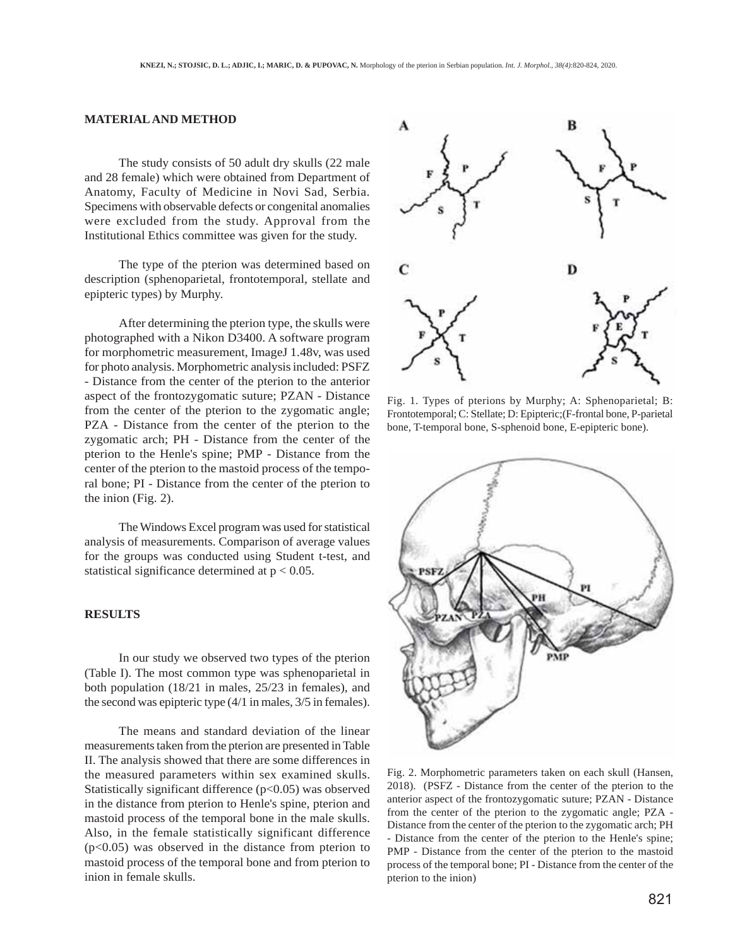# **MATERIAL AND METHOD**

The study consists of 50 adult dry skulls (22 male and 28 female) which were obtained from Department of Anatomy, Faculty of Medicine in Novi Sad, Serbia. Specimens with observable defects or congenital anomalies were excluded from the study. Approval from the Institutional Ethics committee was given for the study.

The type of the pterion was determined based on description (sphenoparietal, frontotemporal, stellate and epipteric types) by Murphy.

After determining the pterion type, the skulls were photographed with a Nikon D3400. A software program for morphometric measurement, ImageJ 1.48v, was used for photo analysis. Morphometric analysis included: PSFZ - Distance from the center of the pterion to the anterior aspect of the frontozygomatic suture; PZAN - Distance from the center of the pterion to the zygomatic angle; PZA - Distance from the center of the pterion to the zygomatic arch; PH - Distance from the center of the pterion to the Henle's spine; PMP - Distance from the center of the pterion to the mastoid process of the temporal bone; PI - Distance from the center of the pterion to the inion (Fig. 2).

The Windows Excel program was used for statistical analysis of measurements. Comparison of average values for the groups was conducted using Student t-test, and statistical significance determined at  $p < 0.05$ .

#### **RESULTS**

In our study we observed two types of the pterion (Table I). The most common type was sphenoparietal in both population (18/21 in males, 25/23 in females), and the second was epipteric type (4/1 in males, 3/5 in females).

The means and standard deviation of the linear measurements taken from the pterion are presented in Table II. The analysis showed that there are some differences in the measured parameters within sex examined skulls. Statistically significant difference  $(p<0.05)$  was observed in the distance from pterion to Henle's spine, pterion and mastoid process of the temporal bone in the male skulls. Also, in the female statistically significant difference  $(p<0.05)$  was observed in the distance from pterion to mastoid process of the temporal bone and from pterion to inion in female skulls.



Fig. 1. Types of pterions by Murphy; A: Sphenoparietal; B: Frontotemporal; C: Stellate; D: Epipteric;(F-frontal bone, P-parietal bone, T-temporal bone, S-sphenoid bone, E-epipteric bone).



Fig. 2. Morphometric parameters taken on each skull (Hansen, 2018). (PSFZ - Distance from the center of the pterion to the anterior aspect of the frontozygomatic suture; PZAN - Distance from the center of the pterion to the zygomatic angle; PZA - Distance from the center of the pterion to the zygomatic arch; PH - Distance from the center of the pterion to the Henle's spine; PMP - Distance from the center of the pterion to the mastoid process of the temporal bone; PI - Distance from the center of the pterion to the inion)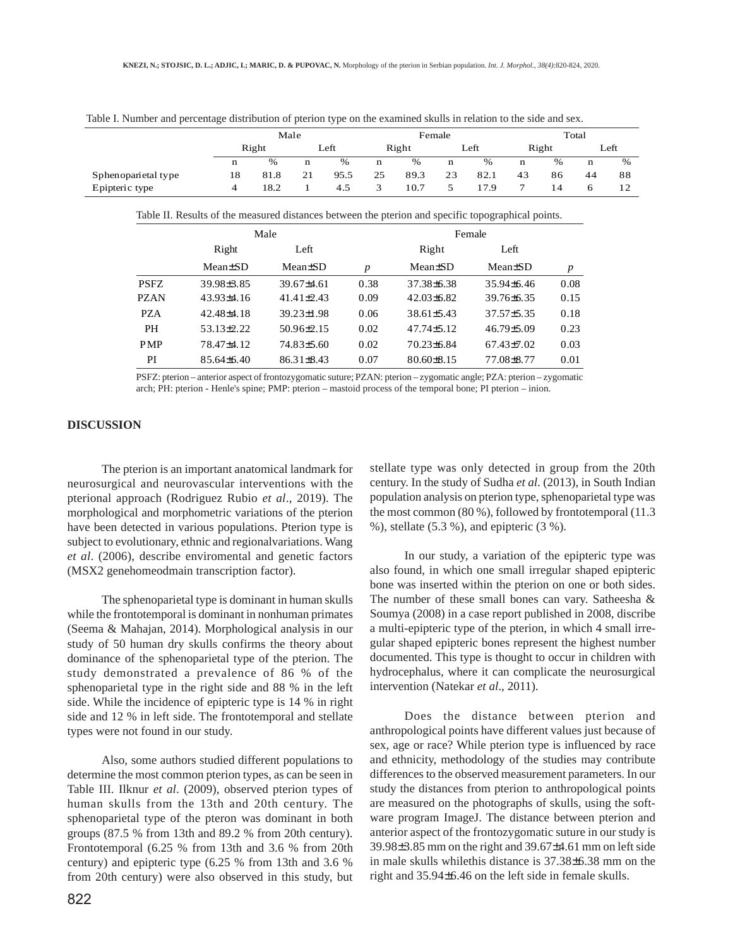|                     | Male  |      |      |      | Female |      |             |      | Total |    |      |      |
|---------------------|-------|------|------|------|--------|------|-------------|------|-------|----|------|------|
|                     | Right |      | Left |      | Right  |      | Left        |      | Right |    | Left |      |
|                     | n     | $\%$ | n    | $\%$ | n      | $\%$ | $\mathbf n$ | %    | n     | %  | n    | $\%$ |
| Sphenoparietal type | 18    | 81.8 | 21   | 95.5 | 25     | 89.3 | 23          | 82.1 | 43    | 86 | 44   | 88   |
| Epipteric type      |       | 18.2 |      | 4.5  |        | 10.7 |             | 17.9 |       |    |      |      |

Table I. Number and percentage distribution of pterion type on the examined skulls in relation to the side and sex.

Table II. Results of the measured distances between the pterion and specific topographical points.

|             |                         | Male             |      | Female           |                      |      |  |
|-------------|-------------------------|------------------|------|------------------|----------------------|------|--|
|             | Right<br>Left           |                  |      | Right            | Left                 |      |  |
|             | $Mean \pm SD$           | $Mean \pm SD$    | p    | $Mean \pm SD$    | Mean <sup>+</sup> SD | p    |  |
| <b>PSFZ</b> | 39.98 <sup>+</sup> 3.85 | 39.67±4.61       | 0.38 | 37.38 + 6.38     | $35.94\pm 6.46$      | 0.08 |  |
| <b>PZAN</b> | $43.93\pm4.16$          | $41.41\pm2.43$   | 0.09 | $42.03\pm 6.82$  | $39.76\pm 6.35$      | 0.15 |  |
| <b>PZA</b>  | $42.48\pm4.18$          | 39.23±1.98       | 0.06 | $38.61 \pm 5.43$ | $37.57 \pm 5.35$     | 0.18 |  |
| <b>PH</b>   | $53.13 \pm 2.22$        | $50.96 \pm 2.15$ | 0.02 | $47.74\pm5.12$   | $46.79 \pm 5.09$     | 0.23 |  |
| <b>PMP</b>  | 78.47±4.12              | 74.83±5.60       | 0.02 | $70.23\pm 6.84$  | $67.43\pm7.02$       | 0.03 |  |
| PI          | $85.64\pm 6.40$         | $86.31 \pm 8.43$ | 0.07 | $80.60 \pm 8.15$ | 77.08±8.77           | 0.01 |  |

PSFZ: pterion – anterior aspect of frontozygomatic suture; PZAN: pterion – zygomatic angle; PZA: pterion – zygomatic arch; PH: pterion - Henle's spine; PMP: pterion – mastoid process of the temporal bone; PI pterion – inion.

## **DISCUSSION**

The pterion is an important anatomical landmark for neurosurgical and neurovascular interventions with the pterional approach (Rodriguez Rubio *et al*., 2019). The morphological and morphometric variations of the pterion have been detected in various populations. Pterion type is subject to evolutionary, ethnic and regionalvariations. Wang *et al*. (2006), describe enviromental and genetic factors (MSX2 genehomeodmain transcription factor).

The sphenoparietal type is dominant in human skulls while the frontotemporal is dominant in nonhuman primates (Seema & Mahajan, 2014). Morphological analysis in our study of 50 human dry skulls confirms the theory about dominance of the sphenoparietal type of the pterion. The study demonstrated a prevalence of 86 % of the sphenoparietal type in the right side and 88 % in the left side. While the incidence of epipteric type is 14 % in right side and 12 % in left side. The frontotemporal and stellate types were not found in our study.

Also, some authors studied different populations to determine the most common pterion types, as can be seen in Table III. Ilknur *et al*. (2009), observed pterion types of human skulls from the 13th and 20th century. The sphenoparietal type of the pteron was dominant in both groups (87.5 % from 13th and 89.2 % from 20th century). Frontotemporal (6.25 % from 13th and 3.6 % from 20th century) and epipteric type (6.25 % from 13th and 3.6 % from 20th century) were also observed in this study, but

822

stellate type was only detected in group from the 20th century. In the study of Sudha *et al*. (2013), in South Indian population analysis on pterion type, sphenoparietal type was the most common (80 %), followed by frontotemporal (11.3 %), stellate (5.3 %), and epipteric (3 %).

In our study, a variation of the epipteric type was also found, in which one small irregular shaped epipteric bone was inserted within the pterion on one or both sides. The number of these small bones can vary. Satheesha & Soumya (2008) in a case report published in 2008, discribe a multi-epipteric type of the pterion, in which 4 small irregular shaped epipteric bones represent the highest number documented. This type is thought to occur in children with hydrocephalus, where it can complicate the neurosurgical intervention (Natekar *et al*., 2011).

Does the distance between pterion and anthropological points have different values just because of sex, age or race? While pterion type is influenced by race and ethnicity, methodology of the studies may contribute differences to the observed measurement parameters. In our study the distances from pterion to anthropological points are measured on the photographs of skulls, using the software program ImageJ. The distance between pterion and anterior aspect of the frontozygomatic suture in our study is 39.98±3.85 mm on the right and 39.67±4.61 mm on left side in male skulls whilethis distance is 37.38±6.38 mm on the right and 35.94±6.46 on the left side in female skulls.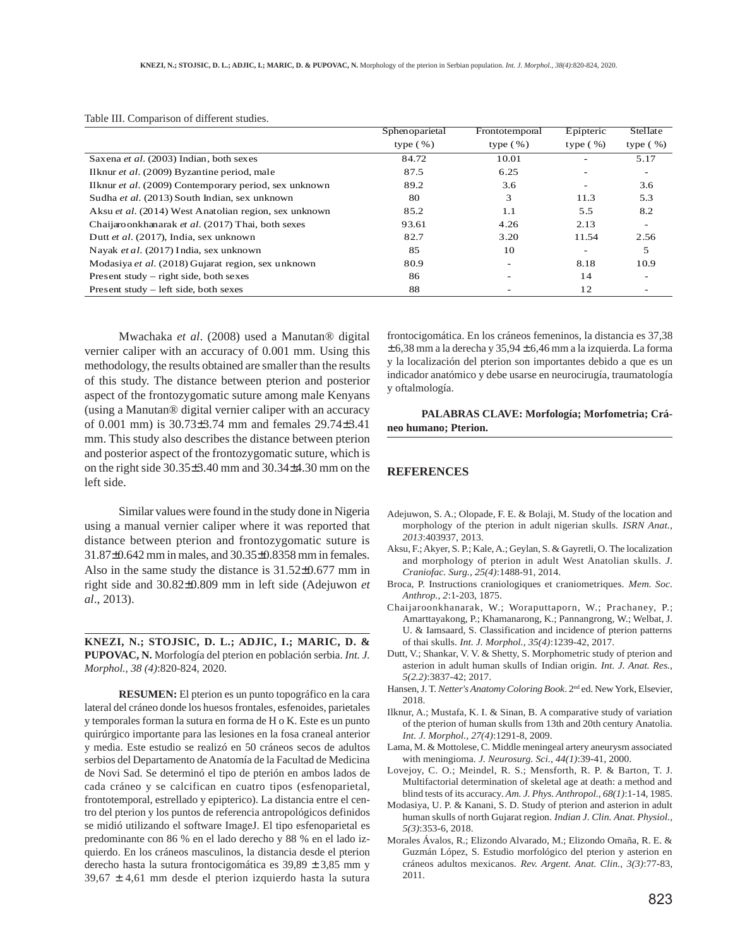|                                                       | Sphenoparietal | Frontotemporal | Epipteric                | Stellate     |
|-------------------------------------------------------|----------------|----------------|--------------------------|--------------|
|                                                       | type $(\% )$   | type $(\% )$   | type $(\frac{9}{6})$     | type $(\% )$ |
| Saxena et al. (2003) Indian, both sexes               | 84.72          | 10.01          |                          | 5.17         |
| Ilknur et al. (2009) Byzantine period, male           | 87.5           | 6.25           |                          |              |
| Ilknur et al. (2009) Contemporary period, sex unknown | 89.2           | 3.6            |                          | 3.6          |
| Sudha et al. (2013) South Indian, sex unknown         | 80             | 3              | 11.3                     | 5.3          |
| Aksu et al. (2014) West Anatolian region, sex unknown | 85.2           | 1.1            | 5.5                      | 8.2          |
| Chaijaro onkhanarak et al. (2017) Thai, both sexes    | 93.61          | 4.26           | 2.13                     |              |
| Dutt et al. (2017), India, sex unknown                | 82.7           | 3.20           | 11.54                    | 2.56         |
| Nayak et al. (2017) India, sex unknown                | 85             | 10             | $\overline{\phantom{0}}$ | 5            |
| Modasiya et al. (2018) Gujarat region, sex unknown    | 80.9           |                | 8.18                     | 10.9         |
| Present study $-$ right side, both sexes              | 86             |                | 14                       |              |
| Present study – left side, both sexes                 | 88             |                | 12                       |              |

Table III. Comparison of different studies.

Mwachaka *et al*. (2008) used a Manutan® digital vernier caliper with an accuracy of 0.001 mm. Using this methodology, the results obtained are smaller than the results of this study. The distance between pterion and posterior aspect of the frontozygomatic suture among male Kenyans (using a Manutan® digital vernier caliper with an accuracy of 0.001 mm) is 30.73±3.74 mm and females 29.74±3.41 mm. This study also describes the distance between pterion and posterior aspect of the frontozygomatic suture, which is on the right side 30.35±3.40 mm and 30.34±4.30 mm on the left side.

Similar values were found in the study done in Nigeria using a manual vernier caliper where it was reported that distance between pterion and frontozygomatic suture is 31.87±0.642 mm in males, and 30.35±0.8358 mm in females. Also in the same study the distance is 31.52±0.677 mm in right side and 30.82±0.809 mm in left side (Adejuwon *et al*., 2013).

**KNEZI, N.; STOJSIC, D. L.; ADJIC, I.; MARIC, D. & PUPOVAC, N.** Morfología del pterion en población serbia. *Int. J. Morphol., 38 (4)*:820-824, 2020.

**RESUMEN:** El pterion es un punto topográfico en la cara lateral del cráneo donde los huesos frontales, esfenoides, parietales y temporales forman la sutura en forma de H o K. Este es un punto quirúrgico importante para las lesiones en la fosa craneal anterior y media. Este estudio se realizó en 50 cráneos secos de adultos serbios del Departamento de Anatomía de la Facultad de Medicina de Novi Sad. Se determinó el tipo de pterión en ambos lados de cada cráneo y se calcifican en cuatro tipos (esfenoparietal, frontotemporal, estrellado y epipterico). La distancia entre el centro del pterion y los puntos de referencia antropológicos definidos se midió utilizando el software ImageJ. El tipo esfenoparietal es predominante con 86 % en el lado derecho y 88 % en el lado izquierdo. En los cráneos masculinos, la distancia desde el pterion derecho hasta la sutura frontocigomática es 39,89 ± 3,85 mm y  $39,67 \pm 4,61$  mm desde el pterion izquierdo hasta la sutura frontocigomática. En los cráneos femeninos, la distancia es 37,38  $\pm$  6,38 mm a la derecha y 35,94  $\pm$  6,46 mm a la izquierda. La forma y la localización del pterion son importantes debido a que es un indicador anatómico y debe usarse en neurocirugía, traumatología y oftalmología.

**PALABRAS CLAVE: Morfología; Morfometria; Cráneo humano; Pterion.**

#### **REFERENCES**

- Adejuwon, S. A.; Olopade, F. E. & Bolaji, M. Study of the location and morphology of the pterion in adult nigerian skulls. *ISRN Anat., 2013*:403937, 2013.
- Aksu, F.; Akyer, S. P.; Kale, A.; Geylan, S. & Gayretli, O. The localization and morphology of pterion in adult West Anatolian skulls. *J. Craniofac. Surg., 25(4)*:1488-91, 2014.
- Broca, P. Instructions craniologiques et craniometriques. *Mem. Soc. Anthrop., 2*:1-203, 1875.
- Chaijaroonkhanarak, W.; Woraputtaporn, W.; Prachaney, P.; Amarttayakong, P.; Khamanarong, K.; Pannangrong, W.; Welbat, J. U. & Iamsaard, S. Classification and incidence of pterion patterns of thai skulls. *Int. J. Morphol., 35(4)*:1239-42, 2017.
- Dutt, V.; Shankar, V. V. & Shetty, S. Morphometric study of pterion and asterion in adult human skulls of Indian origin. *Int. J. Anat. Res., 5(2.2)*:3837-42; 2017.
- Hansen, J. T. *Netter's Anatomy Coloring Book*. 2nd ed. New York, Elsevier, 2018.
- Ilknur, A.; Mustafa, K. I. & Sinan, B. A comparative study of variation of the pterion of human skulls from 13th and 20th century Anatolia*. Int. J. Morphol., 27(4)*:1291-8, 2009.
- Lama, M. & Mottolese, C. Middle meningeal artery aneurysm associated with meningioma. *J. Neurosurg. Sci., 44(1)*:39-41, 2000.
- Lovejoy, C. O.; Meindel, R. S.; Mensforth, R. P. & Barton, T. J. Multifactorial determination of skeletal age at death: a method and blind tests of its accuracy. *Am. J. Phys. Anthropol., 68(1)*:1-14, 1985.
- Modasiya, U. P. & Kanani, S. D. Study of pterion and asterion in adult human skulls of north Gujarat region. *Indian J. Clin. Anat. Physiol., 5(3)*:353-6, 2018.
- Morales Ávalos, R.; Elizondo Alvarado, M.; Elizondo Omaña, R. E. & Guzmán López, S. Estudio morfológico del pterion y asterion en cráneos adultos mexicanos. *Rev. Argent. Anat. Clin., 3(3)*:77-83, 2011.